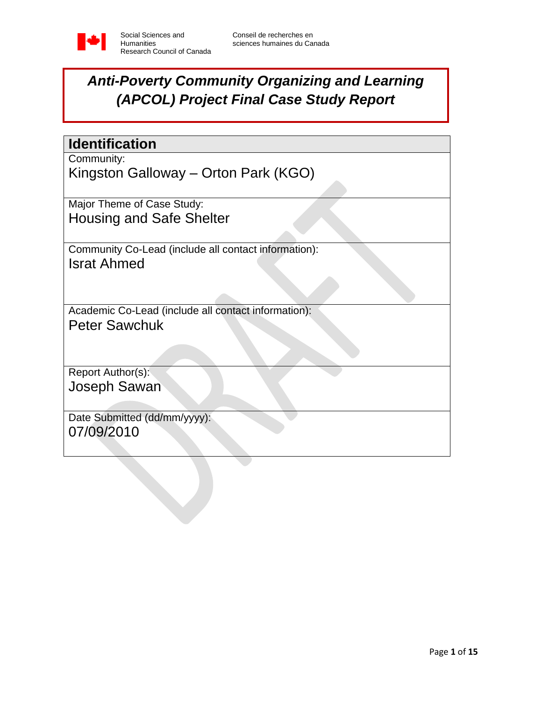

# *Anti-Poverty Community Organizing and Learning (APCOL) Project Final Case Study Report*

*(Cover Sheet)*

| <b>Identification</b>                                |
|------------------------------------------------------|
| Community:                                           |
| Kingston Galloway – Orton Park (KGO)                 |
| Major Theme of Case Study:                           |
| <b>Housing and Safe Shelter</b>                      |
| Community Co-Lead (include all contact information): |
| <b>Israt Ahmed</b>                                   |
|                                                      |
| Academic Co-Lead (include all contact information):  |
| <b>Peter Sawchuk</b>                                 |
|                                                      |
| Report Author(s):                                    |
| Joseph Sawan                                         |
|                                                      |
| Date Submitted (dd/mm/yyyy):                         |
| 07/09/2010                                           |
|                                                      |
|                                                      |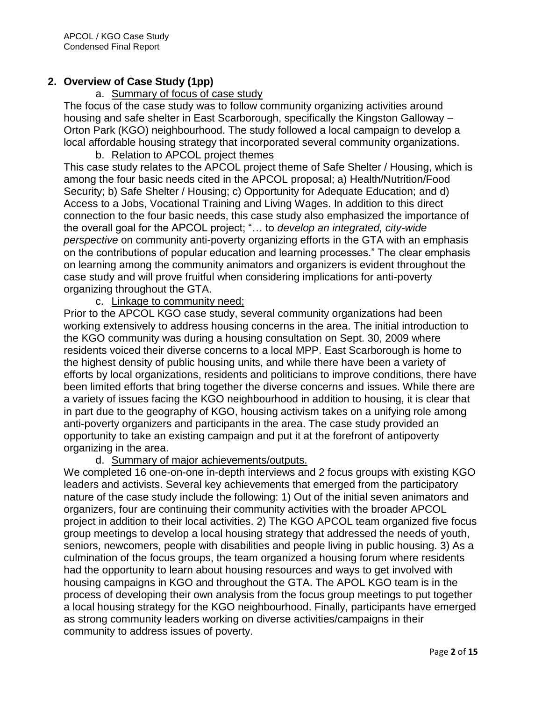## **2. Overview of Case Study (1pp)**

## a. Summary of focus of case study

The focus of the case study was to follow community organizing activities around housing and safe shelter in East Scarborough, specifically the Kingston Galloway – Orton Park (KGO) neighbourhood. The study followed a local campaign to develop a local affordable housing strategy that incorporated several community organizations.

#### b. Relation to APCOL project themes

This case study relates to the APCOL project theme of Safe Shelter / Housing, which is among the four basic needs cited in the APCOL proposal; a) Health/Nutrition/Food Security; b) Safe Shelter / Housing; c) Opportunity for Adequate Education; and d) Access to a Jobs, Vocational Training and Living Wages. In addition to this direct connection to the four basic needs, this case study also emphasized the importance of the overall goal for the APCOL project; "… to *develop an integrated, city-wide perspective* on community anti-poverty organizing efforts in the GTA with an emphasis on the contributions of popular education and learning processes." The clear emphasis on learning among the community animators and organizers is evident throughout the case study and will prove fruitful when considering implications for anti-poverty organizing throughout the GTA.

## c. Linkage to community need;

Prior to the APCOL KGO case study, several community organizations had been working extensively to address housing concerns in the area. The initial introduction to the KGO community was during a housing consultation on Sept. 30, 2009 where residents voiced their diverse concerns to a local MPP. East Scarborough is home to the highest density of public housing units, and while there have been a variety of efforts by local organizations, residents and politicians to improve conditions, there have been limited efforts that bring together the diverse concerns and issues. While there are a variety of issues facing the KGO neighbourhood in addition to housing, it is clear that in part due to the geography of KGO, housing activism takes on a unifying role among anti-poverty organizers and participants in the area. The case study provided an opportunity to take an existing campaign and put it at the forefront of antipoverty organizing in the area.

## d. Summary of major achievements/outputs.

We completed 16 one-on-one in-depth interviews and 2 focus groups with existing KGO leaders and activists. Several key achievements that emerged from the participatory nature of the case study include the following: 1) Out of the initial seven animators and organizers, four are continuing their community activities with the broader APCOL project in addition to their local activities. 2) The KGO APCOL team organized five focus group meetings to develop a local housing strategy that addressed the needs of youth, seniors, newcomers, people with disabilities and people living in public housing. 3) As a culmination of the focus groups, the team organized a housing forum where residents had the opportunity to learn about housing resources and ways to get involved with housing campaigns in KGO and throughout the GTA. The APOL KGO team is in the process of developing their own analysis from the focus group meetings to put together a local housing strategy for the KGO neighbourhood. Finally, participants have emerged as strong community leaders working on diverse activities/campaigns in their community to address issues of poverty.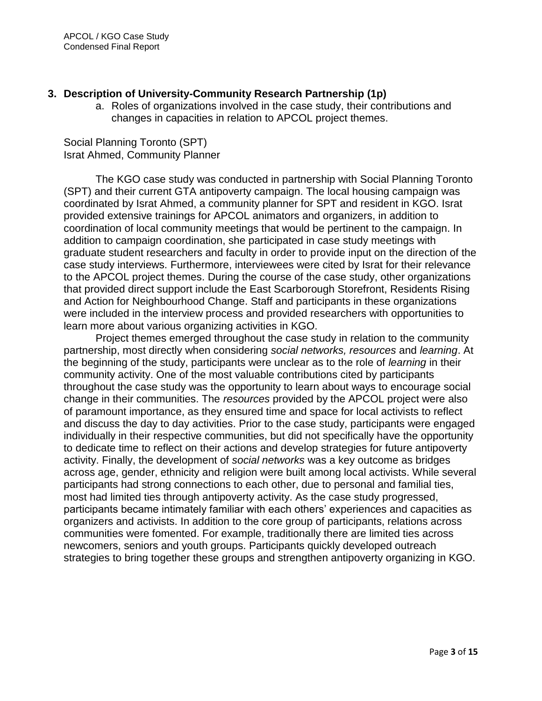## **3. Description of University-Community Research Partnership (1p)**

a. Roles of organizations involved in the case study, their contributions and changes in capacities in relation to APCOL project themes.

Social Planning Toronto (SPT) Israt Ahmed, Community Planner

The KGO case study was conducted in partnership with Social Planning Toronto (SPT) and their current GTA antipoverty campaign. The local housing campaign was coordinated by Israt Ahmed, a community planner for SPT and resident in KGO. Israt provided extensive trainings for APCOL animators and organizers, in addition to coordination of local community meetings that would be pertinent to the campaign. In addition to campaign coordination, she participated in case study meetings with graduate student researchers and faculty in order to provide input on the direction of the case study interviews. Furthermore, interviewees were cited by Israt for their relevance to the APCOL project themes. During the course of the case study, other organizations that provided direct support include the East Scarborough Storefront, Residents Rising and Action for Neighbourhood Change. Staff and participants in these organizations were included in the interview process and provided researchers with opportunities to learn more about various organizing activities in KGO.

Project themes emerged throughout the case study in relation to the community partnership, most directly when considering *social networks, resources* and *learning*. At the beginning of the study, participants were unclear as to the role of *learning* in their community activity. One of the most valuable contributions cited by participants throughout the case study was the opportunity to learn about ways to encourage social change in their communities. The *resources* provided by the APCOL project were also of paramount importance, as they ensured time and space for local activists to reflect and discuss the day to day activities. Prior to the case study, participants were engaged individually in their respective communities, but did not specifically have the opportunity to dedicate time to reflect on their actions and develop strategies for future antipoverty activity. Finally, the development of *social networks* was a key outcome as bridges across age, gender, ethnicity and religion were built among local activists. While several participants had strong connections to each other, due to personal and familial ties, most had limited ties through antipoverty activity. As the case study progressed, participants became intimately familiar with each others" experiences and capacities as organizers and activists. In addition to the core group of participants, relations across communities were fomented. For example, traditionally there are limited ties across newcomers, seniors and youth groups. Participants quickly developed outreach strategies to bring together these groups and strengthen antipoverty organizing in KGO.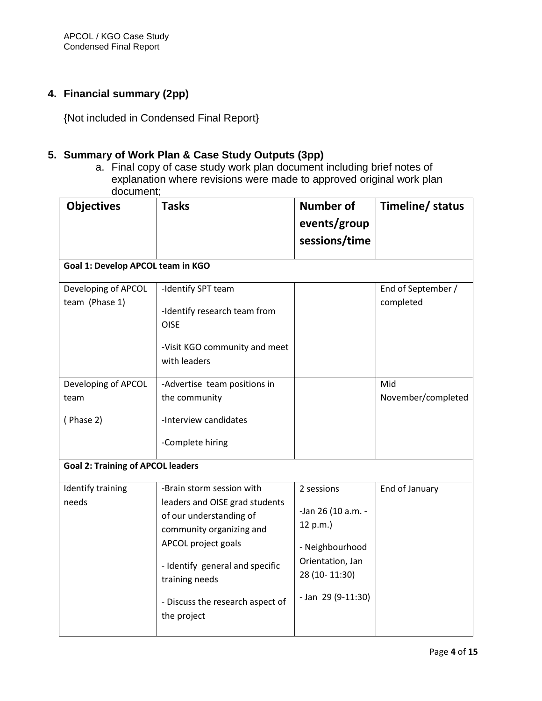# **4. Financial summary (2pp)**

{Not included in Condensed Final Report}

## **5. Summary of Work Plan & Case Study Outputs (3pp)**

a. Final copy of case study work plan document including brief notes of explanation where revisions were made to approved original work plan document;

| <b>Objectives</b>                        | <b>Tasks</b>                                                                                                                                                                                                                                      | <b>Number of</b><br>events/group<br>sessions/time                                                                            | Timeline/ status                |  |  |
|------------------------------------------|---------------------------------------------------------------------------------------------------------------------------------------------------------------------------------------------------------------------------------------------------|------------------------------------------------------------------------------------------------------------------------------|---------------------------------|--|--|
| Goal 1: Develop APCOL team in KGO        |                                                                                                                                                                                                                                                   |                                                                                                                              |                                 |  |  |
| Developing of APCOL<br>team (Phase 1)    | -Identify SPT team<br>-Identify research team from<br><b>OISE</b><br>-Visit KGO community and meet<br>with leaders                                                                                                                                |                                                                                                                              | End of September /<br>completed |  |  |
| Developing of APCOL<br>team<br>(Phase 2) | -Advertise team positions in<br>the community<br>-Interview candidates<br>-Complete hiring                                                                                                                                                        |                                                                                                                              | Mid<br>November/completed       |  |  |
| <b>Goal 2: Training of APCOL leaders</b> |                                                                                                                                                                                                                                                   |                                                                                                                              |                                 |  |  |
| Identify training<br>needs               | -Brain storm session with<br>leaders and OISE grad students<br>of our understanding of<br>community organizing and<br>APCOL project goals<br>- Identify general and specific<br>training needs<br>- Discuss the research aspect of<br>the project | 2 sessions<br>-Jan 26 (10 a.m. -<br>12 p.m.)<br>- Neighbourhood<br>Orientation, Jan<br>28 (10-11:30)<br>$-$ Jan 29 (9-11:30) | End of January                  |  |  |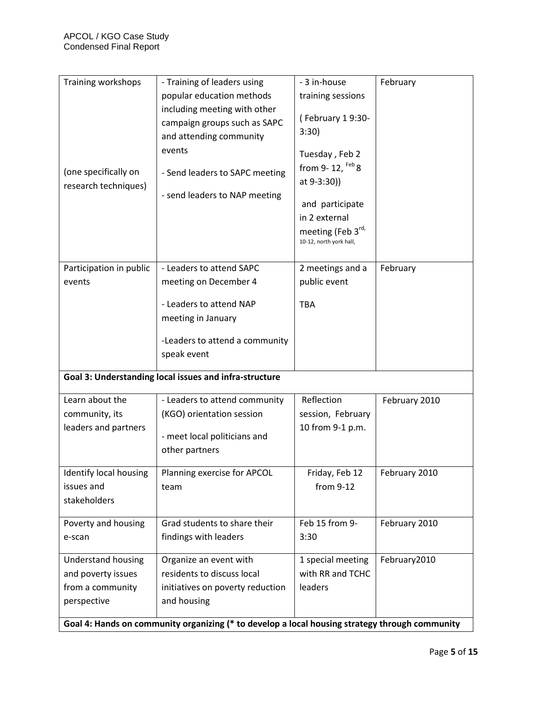| Training workshops                                                                             | - Training of leaders using                                                             | - 3 in-house                                 | February      |  |  |  |
|------------------------------------------------------------------------------------------------|-----------------------------------------------------------------------------------------|----------------------------------------------|---------------|--|--|--|
|                                                                                                | popular education methods                                                               | training sessions                            |               |  |  |  |
|                                                                                                | including meeting with other<br>campaign groups such as SAPC<br>and attending community | (February 19:30-<br>3:30)                    |               |  |  |  |
|                                                                                                | events                                                                                  | Tuesday, Feb 2                               |               |  |  |  |
| (one specifically on<br>research techniques)                                                   | - Send leaders to SAPC meeting                                                          | from 9-12, $Feb$ 8<br>at 9-3:30))            |               |  |  |  |
|                                                                                                | - send leaders to NAP meeting                                                           | and participate                              |               |  |  |  |
|                                                                                                |                                                                                         | in 2 external                                |               |  |  |  |
|                                                                                                |                                                                                         | meeting (Feb 3rd,<br>10-12, north york hall, |               |  |  |  |
| Participation in public                                                                        | - Leaders to attend SAPC                                                                | 2 meetings and a                             | February      |  |  |  |
| events                                                                                         | meeting on December 4                                                                   | public event                                 |               |  |  |  |
|                                                                                                |                                                                                         |                                              |               |  |  |  |
|                                                                                                | - Leaders to attend NAP                                                                 | <b>TBA</b>                                   |               |  |  |  |
|                                                                                                | meeting in January                                                                      |                                              |               |  |  |  |
|                                                                                                | -Leaders to attend a community                                                          |                                              |               |  |  |  |
|                                                                                                | speak event                                                                             |                                              |               |  |  |  |
| Goal 3: Understanding local issues and infra-structure                                         |                                                                                         |                                              |               |  |  |  |
| Learn about the                                                                                | - Leaders to attend community                                                           | Reflection                                   | February 2010 |  |  |  |
| community, its                                                                                 | (KGO) orientation session                                                               | session, February                            |               |  |  |  |
| leaders and partners                                                                           |                                                                                         | 10 from 9-1 p.m.                             |               |  |  |  |
|                                                                                                | - meet local politicians and                                                            |                                              |               |  |  |  |
|                                                                                                | other partners                                                                          |                                              |               |  |  |  |
| Identify local housing                                                                         | Planning exercise for APCOL                                                             | Friday, Feb 12                               | February 2010 |  |  |  |
| issues and                                                                                     | team                                                                                    | from 9-12                                    |               |  |  |  |
| stakeholders                                                                                   |                                                                                         |                                              |               |  |  |  |
| Poverty and housing                                                                            | Grad students to share their                                                            | Feb 15 from 9-                               | February 2010 |  |  |  |
| e-scan                                                                                         | findings with leaders                                                                   | 3:30                                         |               |  |  |  |
| <b>Understand housing</b>                                                                      | Organize an event with                                                                  | 1 special meeting                            | February2010  |  |  |  |
| and poverty issues                                                                             | residents to discuss local                                                              | with RR and TCHC                             |               |  |  |  |
| from a community                                                                               | initiatives on poverty reduction                                                        | leaders                                      |               |  |  |  |
| perspective                                                                                    | and housing                                                                             |                                              |               |  |  |  |
|                                                                                                |                                                                                         |                                              |               |  |  |  |
| Goal 4: Hands on community organizing (* to develop a local housing strategy through community |                                                                                         |                                              |               |  |  |  |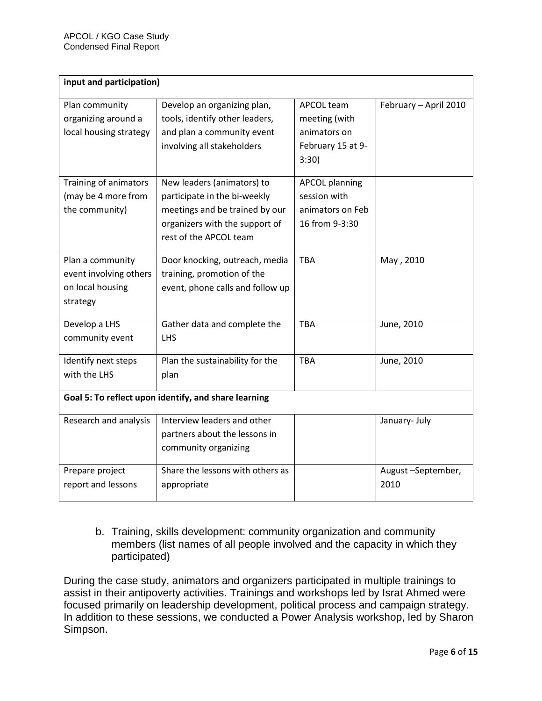| input and participation)                                                   |                                                                                                                                                          |                                                                                  |                           |  |  |
|----------------------------------------------------------------------------|----------------------------------------------------------------------------------------------------------------------------------------------------------|----------------------------------------------------------------------------------|---------------------------|--|--|
| Plan community<br>organizing around a<br>local housing strategy            | Develop an organizing plan,<br>tools, identify other leaders,<br>and plan a community event<br>involving all stakeholders                                | <b>APCOL team</b><br>meeting (with<br>animators on<br>February 15 at 9-<br>3:30) | February - April 2010     |  |  |
| Training of animators<br>(may be 4 more from<br>the community)             | New leaders (animators) to<br>participate in the bi-weekly<br>meetings and be trained by our<br>organizers with the support of<br>rest of the APCOL team | <b>APCOL planning</b><br>session with<br>animators on Feb<br>16 from 9-3:30      |                           |  |  |
| Plan a community<br>event involving others<br>on local housing<br>strategy | Door knocking, outreach, media<br>training, promotion of the<br>event, phone calls and follow up                                                         | <b>TBA</b>                                                                       | May, 2010                 |  |  |
| Develop a LHS<br>community event                                           | Gather data and complete the<br><b>LHS</b>                                                                                                               | <b>TBA</b>                                                                       | June, 2010                |  |  |
| Identify next steps<br>with the LHS                                        | Plan the sustainability for the<br>plan                                                                                                                  | <b>TBA</b>                                                                       | June, 2010                |  |  |
| Goal 5: To reflect upon identify, and share learning                       |                                                                                                                                                          |                                                                                  |                           |  |  |
| Research and analysis                                                      | Interview leaders and other<br>partners about the lessons in<br>community organizing                                                                     |                                                                                  | January- July             |  |  |
| Prepare project<br>report and lessons                                      | Share the lessons with others as<br>appropriate                                                                                                          |                                                                                  | August-September,<br>2010 |  |  |

b. Training, skills development: community organization and community members (list names of all people involved and the capacity in which they participated)

During the case study, animators and organizers participated in multiple trainings to assist in their antipoverty activities. Trainings and workshops led by Israt Ahmed were focused primarily on leadership development, political process and campaign strategy. In addition to these sessions, we conducted a Power Analysis workshop, led by Sharon Simpson.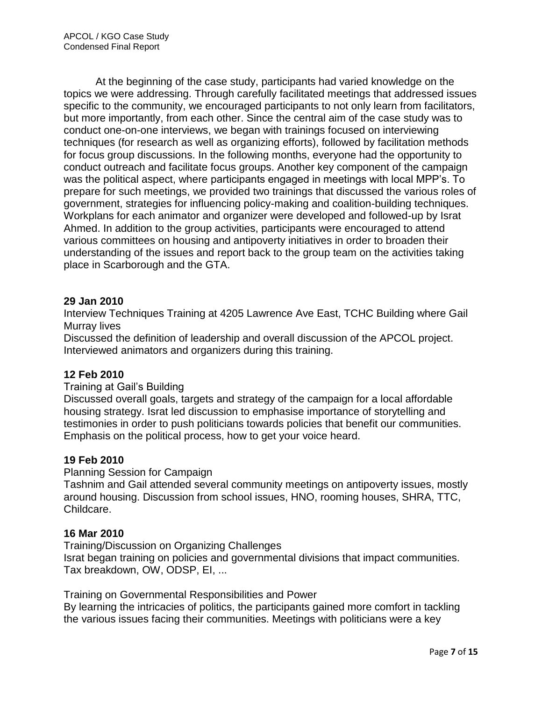At the beginning of the case study, participants had varied knowledge on the topics we were addressing. Through carefully facilitated meetings that addressed issues specific to the community, we encouraged participants to not only learn from facilitators, but more importantly, from each other. Since the central aim of the case study was to conduct one-on-one interviews, we began with trainings focused on interviewing techniques (for research as well as organizing efforts), followed by facilitation methods for focus group discussions. In the following months, everyone had the opportunity to conduct outreach and facilitate focus groups. Another key component of the campaign was the political aspect, where participants engaged in meetings with local MPP"s. To prepare for such meetings, we provided two trainings that discussed the various roles of government, strategies for influencing policy-making and coalition-building techniques. Workplans for each animator and organizer were developed and followed-up by Israt Ahmed. In addition to the group activities, participants were encouraged to attend various committees on housing and antipoverty initiatives in order to broaden their understanding of the issues and report back to the group team on the activities taking place in Scarborough and the GTA.

#### **29 Jan 2010**

Interview Techniques Training at 4205 Lawrence Ave East, TCHC Building where Gail Murray lives

Discussed the definition of leadership and overall discussion of the APCOL project. Interviewed animators and organizers during this training.

## **12 Feb 2010**

#### Training at Gail"s Building

Discussed overall goals, targets and strategy of the campaign for a local affordable housing strategy. Israt led discussion to emphasise importance of storytelling and testimonies in order to push politicians towards policies that benefit our communities. Emphasis on the political process, how to get your voice heard.

#### **19 Feb 2010**

Planning Session for Campaign

Tashnim and Gail attended several community meetings on antipoverty issues, mostly around housing. Discussion from school issues, HNO, rooming houses, SHRA, TTC, Childcare.

#### **16 Mar 2010**

Training/Discussion on Organizing Challenges Israt began training on policies and governmental divisions that impact communities. Tax breakdown, OW, ODSP, EI, ...

Training on Governmental Responsibilities and Power By learning the intricacies of politics, the participants gained more comfort in tackling the various issues facing their communities. Meetings with politicians were a key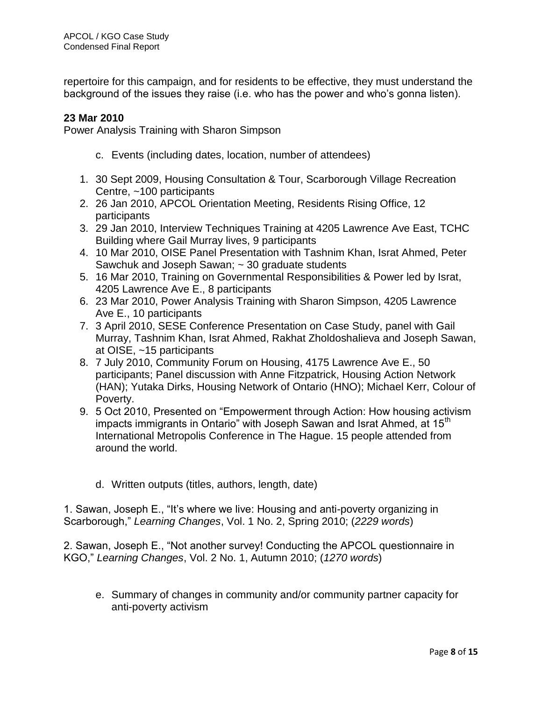repertoire for this campaign, and for residents to be effective, they must understand the background of the issues they raise (i.e. who has the power and who"s gonna listen).

## **23 Mar 2010**

Power Analysis Training with Sharon Simpson

- c. Events (including dates, location, number of attendees)
- 1. 30 Sept 2009, Housing Consultation & Tour, Scarborough Village Recreation Centre, ~100 participants
- 2. 26 Jan 2010, APCOL Orientation Meeting, Residents Rising Office, 12 participants
- 3. 29 Jan 2010, Interview Techniques Training at 4205 Lawrence Ave East, TCHC Building where Gail Murray lives, 9 participants
- 4. 10 Mar 2010, OISE Panel Presentation with Tashnim Khan, Israt Ahmed, Peter Sawchuk and Joseph Sawan; ~ 30 graduate students
- 5. 16 Mar 2010, Training on Governmental Responsibilities & Power led by Israt, 4205 Lawrence Ave E., 8 participants
- 6. 23 Mar 2010, Power Analysis Training with Sharon Simpson, 4205 Lawrence Ave E., 10 participants
- 7. 3 April 2010, SESE Conference Presentation on Case Study, panel with Gail Murray, Tashnim Khan, Israt Ahmed, Rakhat Zholdoshalieva and Joseph Sawan, at OISE, ~15 participants
- 8. 7 July 2010, Community Forum on Housing, 4175 Lawrence Ave E., 50 participants; Panel discussion with Anne Fitzpatrick, Housing Action Network (HAN); Yutaka Dirks, Housing Network of Ontario (HNO); Michael Kerr, Colour of Poverty.
- 9. 5 Oct 2010, Presented on "Empowerment through Action: How housing activism impacts immigrants in Ontario" with Joseph Sawan and Israt Ahmed, at 15<sup>th</sup> International Metropolis Conference in The Hague. 15 people attended from around the world.
	- d. Written outputs (titles, authors, length, date)

1. Sawan, Joseph E., "It"s where we live: Housing and anti-poverty organizing in Scarborough," *Learning Changes*, Vol. 1 No. 2, Spring 2010; (*2229 words*)

2. Sawan, Joseph E., "Not another survey! Conducting the APCOL questionnaire in KGO," *Learning Changes*, Vol. 2 No. 1, Autumn 2010; (*1270 words*)

e. Summary of changes in community and/or community partner capacity for anti-poverty activism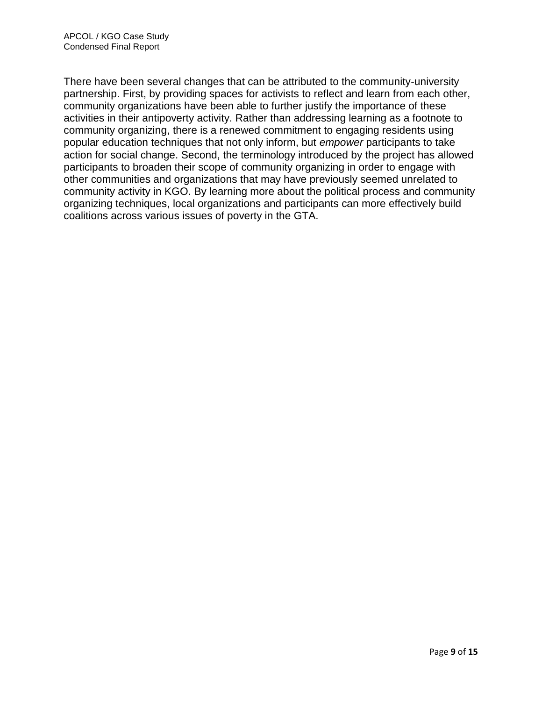There have been several changes that can be attributed to the community-university partnership. First, by providing spaces for activists to reflect and learn from each other, community organizations have been able to further justify the importance of these activities in their antipoverty activity. Rather than addressing learning as a footnote to community organizing, there is a renewed commitment to engaging residents using popular education techniques that not only inform, but *empower* participants to take action for social change. Second, the terminology introduced by the project has allowed participants to broaden their scope of community organizing in order to engage with other communities and organizations that may have previously seemed unrelated to community activity in KGO. By learning more about the political process and community organizing techniques, local organizations and participants can more effectively build coalitions across various issues of poverty in the GTA.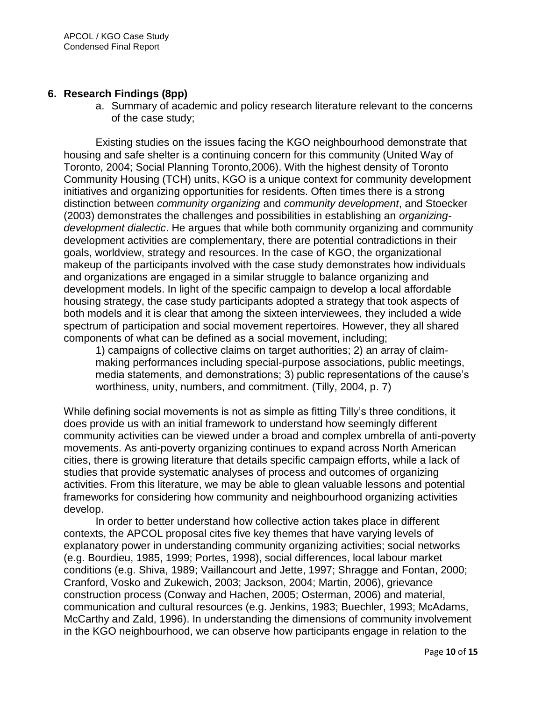## **6. Research Findings (8pp)**

a. Summary of academic and policy research literature relevant to the concerns of the case study;

Existing studies on the issues facing the KGO neighbourhood demonstrate that housing and safe shelter is a continuing concern for this community (United Way of Toronto, 2004; Social Planning Toronto,2006). With the highest density of Toronto Community Housing (TCH) units, KGO is a unique context for community development initiatives and organizing opportunities for residents. Often times there is a strong distinction between *community organizing* and *community development*, and Stoecker (2003) demonstrates the challenges and possibilities in establishing an *organizingdevelopment dialectic*. He argues that while both community organizing and community development activities are complementary, there are potential contradictions in their goals, worldview, strategy and resources. In the case of KGO, the organizational makeup of the participants involved with the case study demonstrates how individuals and organizations are engaged in a similar struggle to balance organizing and development models. In light of the specific campaign to develop a local affordable housing strategy, the case study participants adopted a strategy that took aspects of both models and it is clear that among the sixteen interviewees, they included a wide spectrum of participation and social movement repertoires. However, they all shared components of what can be defined as a social movement, including;

1) campaigns of collective claims on target authorities; 2) an array of claimmaking performances including special-purpose associations, public meetings, media statements, and demonstrations; 3) public representations of the cause"s worthiness, unity, numbers, and commitment. (Tilly, 2004, p. 7)

While defining social movements is not as simple as fitting Tilly"s three conditions, it does provide us with an initial framework to understand how seemingly different community activities can be viewed under a broad and complex umbrella of anti-poverty movements. As anti-poverty organizing continues to expand across North American cities, there is growing literature that details specific campaign efforts, while a lack of studies that provide systematic analyses of process and outcomes of organizing activities. From this literature, we may be able to glean valuable lessons and potential frameworks for considering how community and neighbourhood organizing activities develop.

In order to better understand how collective action takes place in different contexts, the APCOL proposal cites five key themes that have varying levels of explanatory power in understanding community organizing activities; social networks (e.g. Bourdieu, 1985, 1999; Portes, 1998), social differences, local labour market conditions (e.g. Shiva, 1989; Vaillancourt and Jette, 1997; Shragge and Fontan, 2000; Cranford, Vosko and Zukewich, 2003; Jackson, 2004; Martin, 2006), grievance construction process (Conway and Hachen, 2005; Osterman, 2006) and material, communication and cultural resources (e.g. Jenkins, 1983; Buechler, 1993; McAdams, McCarthy and Zald, 1996). In understanding the dimensions of community involvement in the KGO neighbourhood, we can observe how participants engage in relation to the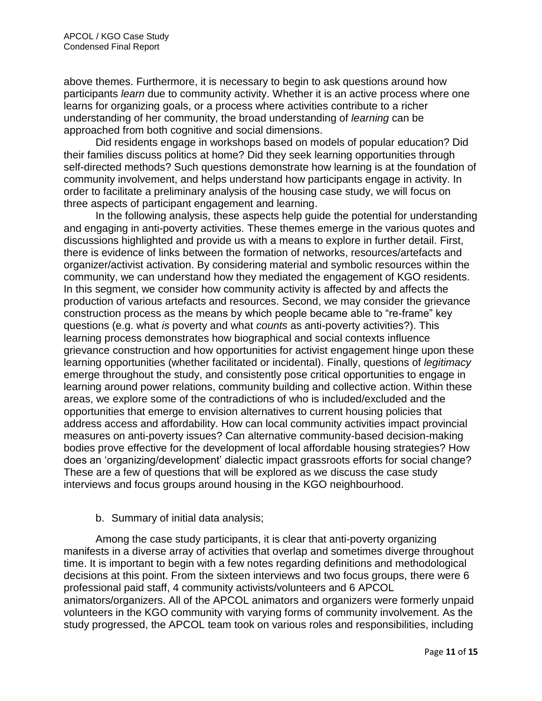above themes. Furthermore, it is necessary to begin to ask questions around how participants *learn* due to community activity. Whether it is an active process where one learns for organizing goals, or a process where activities contribute to a richer understanding of her community, the broad understanding of *learning* can be approached from both cognitive and social dimensions.

Did residents engage in workshops based on models of popular education? Did their families discuss politics at home? Did they seek learning opportunities through self-directed methods? Such questions demonstrate how learning is at the foundation of community involvement, and helps understand how participants engage in activity. In order to facilitate a preliminary analysis of the housing case study, we will focus on three aspects of participant engagement and learning.

In the following analysis, these aspects help guide the potential for understanding and engaging in anti-poverty activities. These themes emerge in the various quotes and discussions highlighted and provide us with a means to explore in further detail. First, there is evidence of links between the formation of networks, resources/artefacts and organizer/activist activation. By considering material and symbolic resources within the community, we can understand how they mediated the engagement of KGO residents. In this segment, we consider how community activity is affected by and affects the production of various artefacts and resources. Second, we may consider the grievance construction process as the means by which people became able to "re-frame" key questions (e.g. what *is* poverty and what *counts* as anti-poverty activities?). This learning process demonstrates how biographical and social contexts influence grievance construction and how opportunities for activist engagement hinge upon these learning opportunities (whether facilitated or incidental). Finally, questions of *legitimacy* emerge throughout the study, and consistently pose critical opportunities to engage in learning around power relations, community building and collective action. Within these areas, we explore some of the contradictions of who is included/excluded and the opportunities that emerge to envision alternatives to current housing policies that address access and affordability. How can local community activities impact provincial measures on anti-poverty issues? Can alternative community-based decision-making bodies prove effective for the development of local affordable housing strategies? How does an "organizing/development" dialectic impact grassroots efforts for social change? These are a few of questions that will be explored as we discuss the case study interviews and focus groups around housing in the KGO neighbourhood.

## b. Summary of initial data analysis;

Among the case study participants, it is clear that anti-poverty organizing manifests in a diverse array of activities that overlap and sometimes diverge throughout time. It is important to begin with a few notes regarding definitions and methodological decisions at this point. From the sixteen interviews and two focus groups, there were 6 professional paid staff, 4 community activists/volunteers and 6 APCOL animators/organizers. All of the APCOL animators and organizers were formerly unpaid volunteers in the KGO community with varying forms of community involvement. As the study progressed, the APCOL team took on various roles and responsibilities, including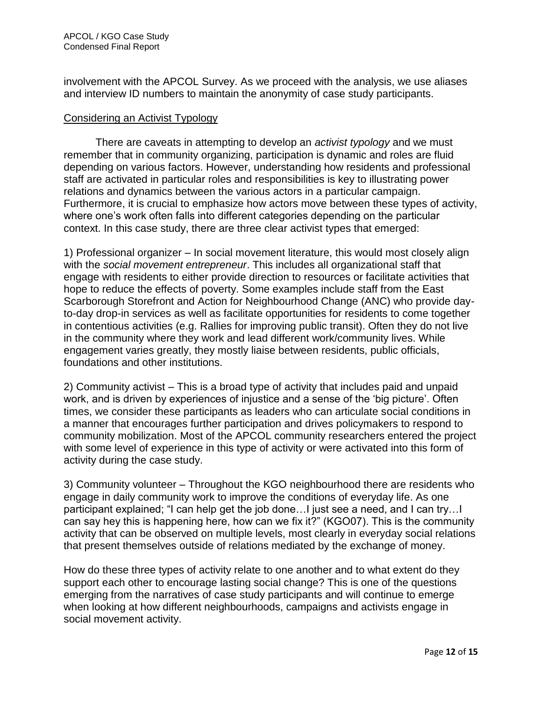involvement with the APCOL Survey. As we proceed with the analysis, we use aliases and interview ID numbers to maintain the anonymity of case study participants.

#### Considering an Activist Typology

There are caveats in attempting to develop an *activist typology* and we must remember that in community organizing, participation is dynamic and roles are fluid depending on various factors. However, understanding how residents and professional staff are activated in particular roles and responsibilities is key to illustrating power relations and dynamics between the various actors in a particular campaign. Furthermore, it is crucial to emphasize how actors move between these types of activity, where one's work often falls into different categories depending on the particular context. In this case study, there are three clear activist types that emerged:

1) Professional organizer – In social movement literature, this would most closely align with the *social movement entrepreneur*. This includes all organizational staff that engage with residents to either provide direction to resources or facilitate activities that hope to reduce the effects of poverty. Some examples include staff from the East Scarborough Storefront and Action for Neighbourhood Change (ANC) who provide dayto-day drop-in services as well as facilitate opportunities for residents to come together in contentious activities (e.g. Rallies for improving public transit). Often they do not live in the community where they work and lead different work/community lives. While engagement varies greatly, they mostly liaise between residents, public officials, foundations and other institutions.

2) Community activist – This is a broad type of activity that includes paid and unpaid work, and is driven by experiences of injustice and a sense of the "big picture". Often times, we consider these participants as leaders who can articulate social conditions in a manner that encourages further participation and drives policymakers to respond to community mobilization. Most of the APCOL community researchers entered the project with some level of experience in this type of activity or were activated into this form of activity during the case study.

3) Community volunteer – Throughout the KGO neighbourhood there are residents who engage in daily community work to improve the conditions of everyday life. As one participant explained; "I can help get the job done…I just see a need, and I can try…I can say hey this is happening here, how can we fix it?" (KGO07). This is the community activity that can be observed on multiple levels, most clearly in everyday social relations that present themselves outside of relations mediated by the exchange of money.

How do these three types of activity relate to one another and to what extent do they support each other to encourage lasting social change? This is one of the questions emerging from the narratives of case study participants and will continue to emerge when looking at how different neighbourhoods, campaigns and activists engage in social movement activity.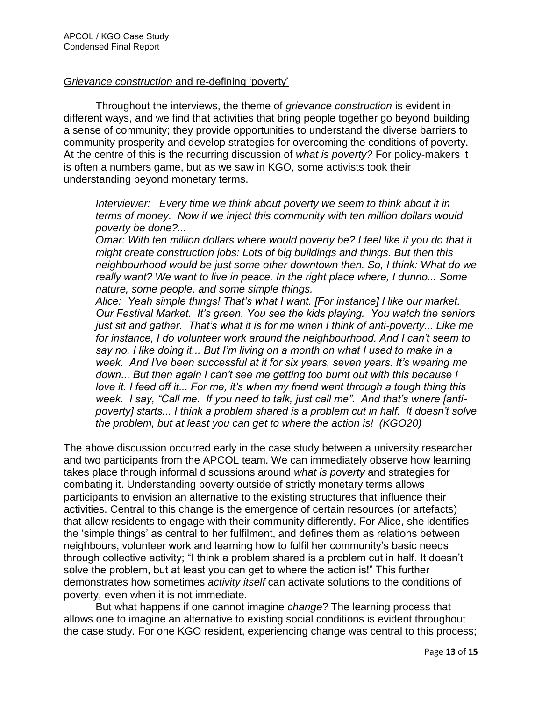## *Grievance construction* and re-defining "poverty"

Throughout the interviews, the theme of *grievance construction* is evident in different ways, and we find that activities that bring people together go beyond building a sense of community; they provide opportunities to understand the diverse barriers to community prosperity and develop strategies for overcoming the conditions of poverty. At the centre of this is the recurring discussion of *what is poverty?* For policy-makers it is often a numbers game, but as we saw in KGO, some activists took their understanding beyond monetary terms.

*Interviewer: Every time we think about poverty we seem to think about it in terms of money. Now if we inject this community with ten million dollars would poverty be done?...* 

*Omar: With ten million dollars where would poverty be? I feel like if you do that it might create construction jobs: Lots of big buildings and things. But then this neighbourhood would be just some other downtown then. So, I think: What do we really want? We want to live in peace. In the right place where, I dunno... Some nature, some people, and some simple things.*

*Alice: Yeah simple things! That's what I want. [For instance] I like our market. Our Festival Market. It's green. You see the kids playing. You watch the seniors just sit and gather. That's what it is for me when I think of anti-poverty... Like me for instance, I do volunteer work around the neighbourhood. And I can't seem to say no. I like doing it... But I'm living on a month on what I used to make in a week. And I've been successful at it for six years, seven years. It's wearing me down... But then again I can't see me getting too burnt out with this because I love it. I feed off it... For me, it's when my friend went through a tough thing this week. I say, "Call me. If you need to talk, just call me". And that's where [antipoverty] starts... I think a problem shared is a problem cut in half. It doesn't solve the problem, but at least you can get to where the action is! (KGO20)*

The above discussion occurred early in the case study between a university researcher and two participants from the APCOL team. We can immediately observe how learning takes place through informal discussions around *what is poverty* and strategies for combating it. Understanding poverty outside of strictly monetary terms allows participants to envision an alternative to the existing structures that influence their activities. Central to this change is the emergence of certain resources (or artefacts) that allow residents to engage with their community differently. For Alice, she identifies the "simple things" as central to her fulfilment, and defines them as relations between neighbours, volunteer work and learning how to fulfil her community"s basic needs through collective activity; "I think a problem shared is a problem cut in half. It doesn"t solve the problem, but at least you can get to where the action is!" This further demonstrates how sometimes *activity itself* can activate solutions to the conditions of poverty, even when it is not immediate.

But what happens if one cannot imagine *change*? The learning process that allows one to imagine an alternative to existing social conditions is evident throughout the case study. For one KGO resident, experiencing change was central to this process;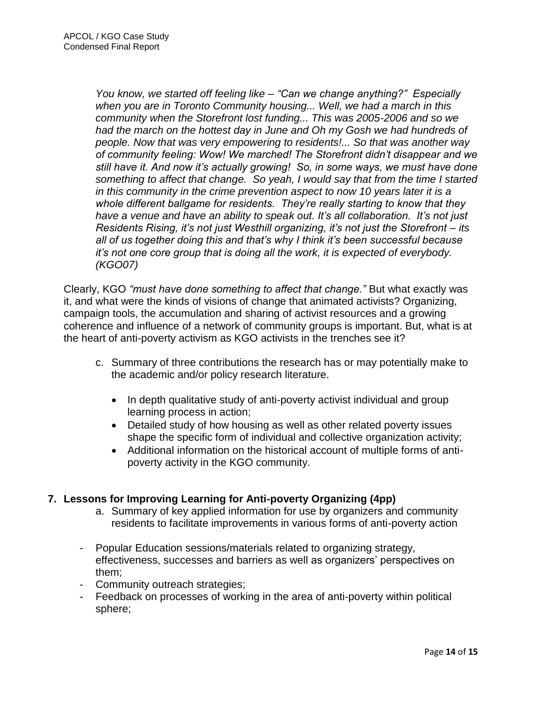*You know, we started off feeling like – "Can we change anything?" Especially when you are in Toronto Community housing... Well, we had a march in this community when the Storefront lost funding... This was 2005-2006 and so we had the march on the hottest day in June and Oh my Gosh we had hundreds of people. Now that was very empowering to residents!... So that was another way of community feeling: Wow! We marched! The Storefront didn't disappear and we still have it. And now it's actually growing! So, in some ways, we must have done something to affect that change. So yeah, I would say that from the time I started in this community in the crime prevention aspect to now 10 years later it is a whole different ballgame for residents. They're really starting to know that they have a venue and have an ability to speak out. It's all collaboration. It's not just Residents Rising, it's not just Westhill organizing, it's not just the Storefront – its all of us together doing this and that's why I think it's been successful because it's not one core group that is doing all the work, it is expected of everybody. (KGO07)*

Clearly, KGO *"must have done something to affect that change."* But what exactly was it, and what were the kinds of visions of change that animated activists? Organizing, campaign tools, the accumulation and sharing of activist resources and a growing coherence and influence of a network of community groups is important. But, what is at the heart of anti-poverty activism as KGO activists in the trenches see it?

- c. Summary of three contributions the research has or may potentially make to the academic and/or policy research literature.
	- In depth qualitative study of anti-poverty activist individual and group learning process in action;
	- Detailed study of how housing as well as other related poverty issues shape the specific form of individual and collective organization activity;
	- Additional information on the historical account of multiple forms of antipoverty activity in the KGO community.

## **7. Lessons for Improving Learning for Anti-poverty Organizing (4pp)**

- a. Summary of key applied information for use by organizers and community residents to facilitate improvements in various forms of anti-poverty action
- Popular Education sessions/materials related to organizing strategy, effectiveness, successes and barriers as well as organizers" perspectives on them;
- Community outreach strategies;
- Feedback on processes of working in the area of anti-poverty within political sphere;